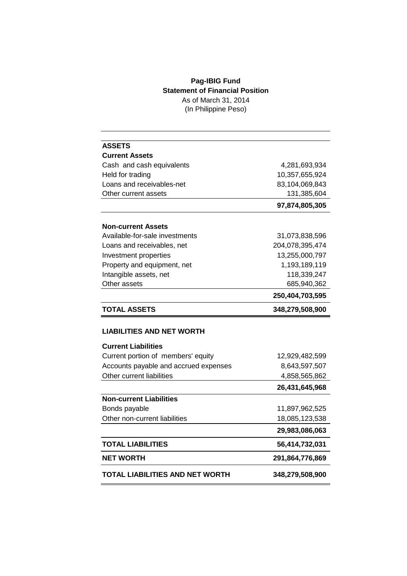## **Pag-IBIG Fund Statement of Financial Position** As of March 31, 2014 (In Philippine Peso)

| <b>ASSETS</b>                         |                 |
|---------------------------------------|-----------------|
| <b>Current Assets</b>                 |                 |
| Cash and cash equivalents             | 4,281,693,934   |
| Held for trading                      | 10,357,655,924  |
| Loans and receivables-net             | 83,104,069,843  |
| Other current assets                  | 131,385,604     |
|                                       | 97,874,805,305  |
| <b>Non-current Assets</b>             |                 |
| Available-for-sale investments        | 31,073,838,596  |
| Loans and receivables, net            | 204,078,395,474 |
| Investment properties                 | 13,255,000,797  |
| Property and equipment, net           | 1,193,189,119   |
| Intangible assets, net                | 118,339,247     |
| Other assets                          | 685,940,362     |
|                                       | 250,404,703,595 |
| <b>TOTAL ASSETS</b>                   | 348,279,508,900 |
| <b>LIABILITIES AND NET WORTH</b>      |                 |
| <b>Current Liabilities</b>            |                 |
| Current portion of members' equity    | 12,929,482,599  |
| Accounts payable and accrued expenses | 8,643,597,507   |
| Other current liabilities             | 4,858,565,862   |
|                                       | 26,431,645,968  |
| <b>Non-current Liabilities</b>        |                 |
| Bonds payable                         | 11,897,962,525  |
| Other non-current liabilities         | 18,085,123,538  |
|                                       | 29,983,086,063  |
| <b>TOTAL LIABILITIES</b>              | 56,414,732,031  |
| NET WORTH                             | 291,864,776,869 |
| TOTAL LIABILITIES AND NET WORTH       | 348,279,508,900 |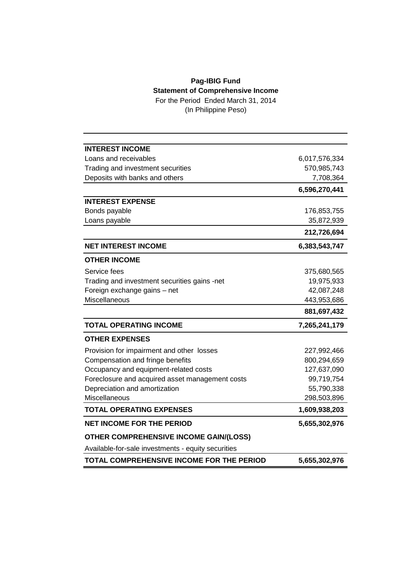## **Pag-IBIG Fund Statement of Comprehensive Income**

For the Period Ended March 31, 2014 (In Philippine Peso)

| <b>INTEREST INCOME</b>                             |               |
|----------------------------------------------------|---------------|
| Loans and receivables                              | 6,017,576,334 |
| Trading and investment securities                  | 570,985,743   |
| Deposits with banks and others                     | 7,708,364     |
|                                                    | 6,596,270,441 |
| <b>INTEREST EXPENSE</b>                            |               |
| Bonds payable                                      | 176,853,755   |
| Loans payable                                      | 35,872,939    |
|                                                    | 212,726,694   |
| <b>NET INTEREST INCOME</b>                         | 6,383,543,747 |
| <b>OTHER INCOME</b>                                |               |
| Service fees                                       | 375,680,565   |
| Trading and investment securities gains -net       | 19,975,933    |
| Foreign exchange gains - net                       | 42,087,248    |
| Miscellaneous                                      | 443,953,686   |
|                                                    | 881,697,432   |
| <b>TOTAL OPERATING INCOME</b>                      | 7,265,241,179 |
| <b>OTHER EXPENSES</b>                              |               |
| Provision for impairment and other losses          | 227,992,466   |
| Compensation and fringe benefits                   | 800,294,659   |
| Occupancy and equipment-related costs              | 127,637,090   |
| Foreclosure and acquired asset management costs    | 99,719,754    |
| Depreciation and amortization                      | 55,790,338    |
| Miscellaneous                                      | 298,503,896   |
| <b>TOTAL OPERATING EXPENSES</b>                    | 1,609,938,203 |
| <b>NET INCOME FOR THE PERIOD</b>                   | 5,655,302,976 |
|                                                    |               |
| <b>OTHER COMPREHENSIVE INCOME GAIN/(LOSS)</b>      |               |
| Available-for-sale investments - equity securities |               |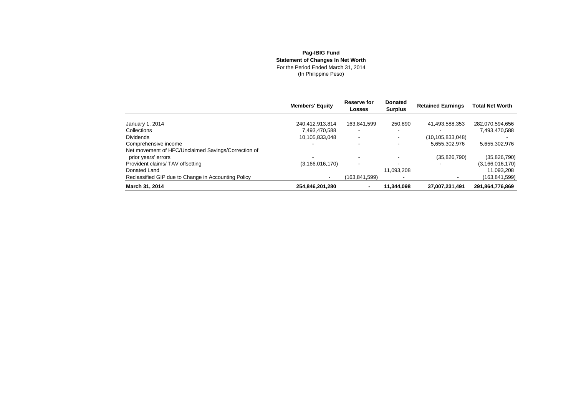## **Pag-IBIG Fund Statement of Changes In Net Worth** For the Period Ended March 31, 2014(In Philippine Peso)

|                                                     | <b>Members' Equity</b> | Reserve for<br>Losses    | <b>Donated</b><br><b>Surplus</b> | <b>Retained Earnings</b> | <b>Total Net Worth</b> |
|-----------------------------------------------------|------------------------|--------------------------|----------------------------------|--------------------------|------------------------|
| January 1, 2014                                     | 240,412,913,814        | 163,841,599              | 250.890                          | 41,493,588,353           | 282,070,594,656        |
| Collections                                         | 7,493,470,588          |                          |                                  |                          | 7,493,470,588          |
| <b>Dividends</b>                                    | 10,105,833,048         | $\overline{\phantom{a}}$ | ٠                                | (10, 105, 833, 048)      |                        |
| Comprehensive income                                |                        |                          | -                                | 5,655,302,976            | 5,655,302,976          |
| Net movement of HFC/Unclaimed Savings/Correction of |                        |                          |                                  |                          |                        |
| prior years' errors                                 |                        |                          |                                  | (35,826,790)             | (35,826,790)           |
| Provident claims/TAV offsetting                     | (3, 166, 016, 170)     |                          |                                  |                          | (3, 166, 016, 170)     |
| Donated Land                                        |                        |                          | 11.093.208                       |                          | 11,093,208             |
| Reclassified GIP due to Change in Accounting Policy |                        | (163.841.599)            |                                  |                          | (163,841,599)          |
| March 31, 2014                                      | 254,846,201,280        |                          | 11.344.098                       | 37.007.231.491           | 291,864,776,869        |